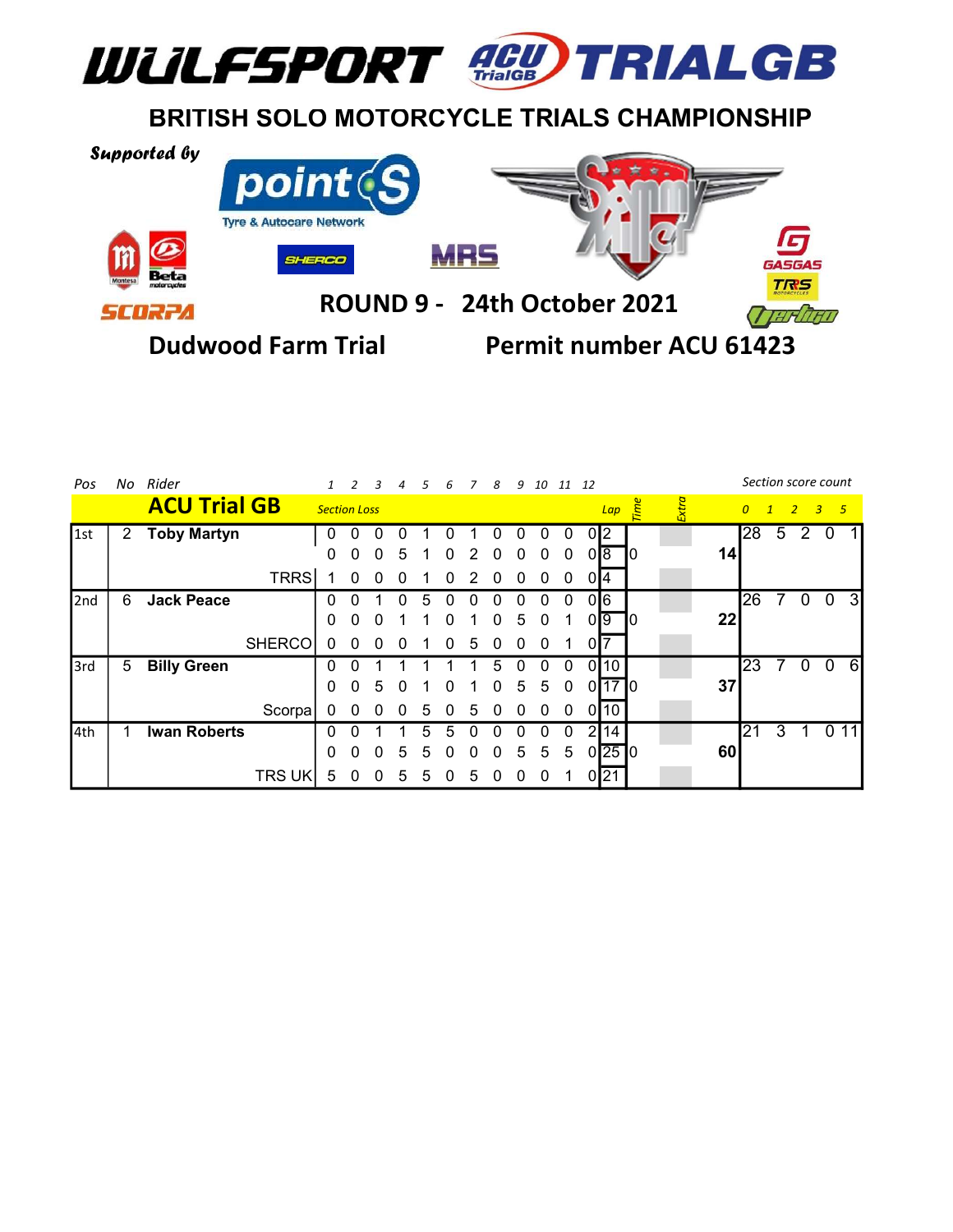

## BRITISH SOLO MOTORCYCLE TRIALS CHAMPIONSHIP



| Pos   |   | No Rider            |               |                     |          |              |              |              | 6        | $\overline{7}$ | 8 |   | 9 10 11 12   |             |                |                                 |     |     |                 |                | Section score count |               |                |    |
|-------|---|---------------------|---------------|---------------------|----------|--------------|--------------|--------------|----------|----------------|---|---|--------------|-------------|----------------|---------------------------------|-----|-----|-----------------|----------------|---------------------|---------------|----------------|----|
|       |   | <b>ACU Trial GB</b> |               | <b>Section Loss</b> |          |              |              |              |          |                |   |   |              |             |                | Lap                             | ime | xra |                 | $\overline{0}$ | $\mathbf{1}$        | $\rightarrow$ | 3 <sub>5</sub> |    |
| l 1st | 2 | <b>Toby Martyn</b>  |               | 0                   |          | 0            |              |              |          |                |   |   | 0            | 0           |                | 02                              |     |     |                 | 28             | 5                   | 2             | -0             |    |
|       |   |                     |               | 0                   |          | $\Omega$     | 5            |              |          |                | 0 | 0 | 0            | 0           |                | 018.                            | IΟ  |     | 14 <sub>1</sub> |                |                     |               |                |    |
|       |   |                     | TRRS          |                     | $\Omega$ | $\Omega$     | $\Omega$     |              | $\Omega$ | 2              | 0 | 0 | $\mathbf{0}$ | $\mathbf 0$ |                | 0I4                             |     |     |                 |                |                     |               |                |    |
| 2nd   | 6 | <b>Jack Peace</b>   |               | 0                   |          |              | 0            |              |          |                |   |   | 0            | 0           | 016            |                                 |     |     |                 | 26             | 7                   | $\mathbf 0$   | $\overline{0}$ | 3  |
|       |   |                     |               | $\mathbf 0$         | 0        | <sup>0</sup> |              |              | U        |                | 0 | 5 | $\mathbf{0}$ | 1           | ΟI             | 19                              | ιU  |     | 22              |                |                     |               |                |    |
|       |   |                     | <b>SHERCO</b> | $\Omega$            | $\Omega$ | $\theta$     | 0            |              |          | 5              |   | ი | 0            |             | $\overline{0}$ |                                 |     |     |                 |                |                     |               |                |    |
| 3rd   | 5 | <b>Billy Green</b>  |               | O                   |          |              |              |              |          |                |   |   |              |             | 01             | 10                              |     |     |                 | 23             |                     | $\mathbf 0$   | 0              | 6  |
|       |   |                     |               | 0                   | $\Omega$ | 5            | $\mathbf{U}$ |              |          |                | 0 | 5 | 5            | 0           |                | $0$ <sup>17<math>0</math></sup> |     |     | 37              |                |                     |               |                |    |
|       |   |                     | Scorpa!       | $\Omega$            | $\Omega$ | $\mathbf{U}$ | $\mathbf{U}$ | $\mathbf{b}$ |          | 5              |   |   | 0            | $\Omega$    |                | 0 10                            |     |     |                 |                |                     |               |                |    |
| 4th   |   | <b>Iwan Roberts</b> |               |                     |          |              |              |              |          |                |   |   |              | 0           | 2              | 14                              |     |     |                 | 121            | 3                   |               | $\Omega$       | 11 |
|       |   |                     |               | $\mathbf 0$         | $\Omega$ | $\Omega$     | .5           | 5            |          | n              | 0 | 5 | 5            | 5           |                | $0$  25  $0$                    |     |     | 60              |                |                     |               |                |    |
|       |   |                     | <b>TRS UK</b> | 5                   | 0        | $\Omega$     | b            | 5            |          | 5              | O | 0 | 0            |             |                | 0 21                            |     |     |                 |                |                     |               |                |    |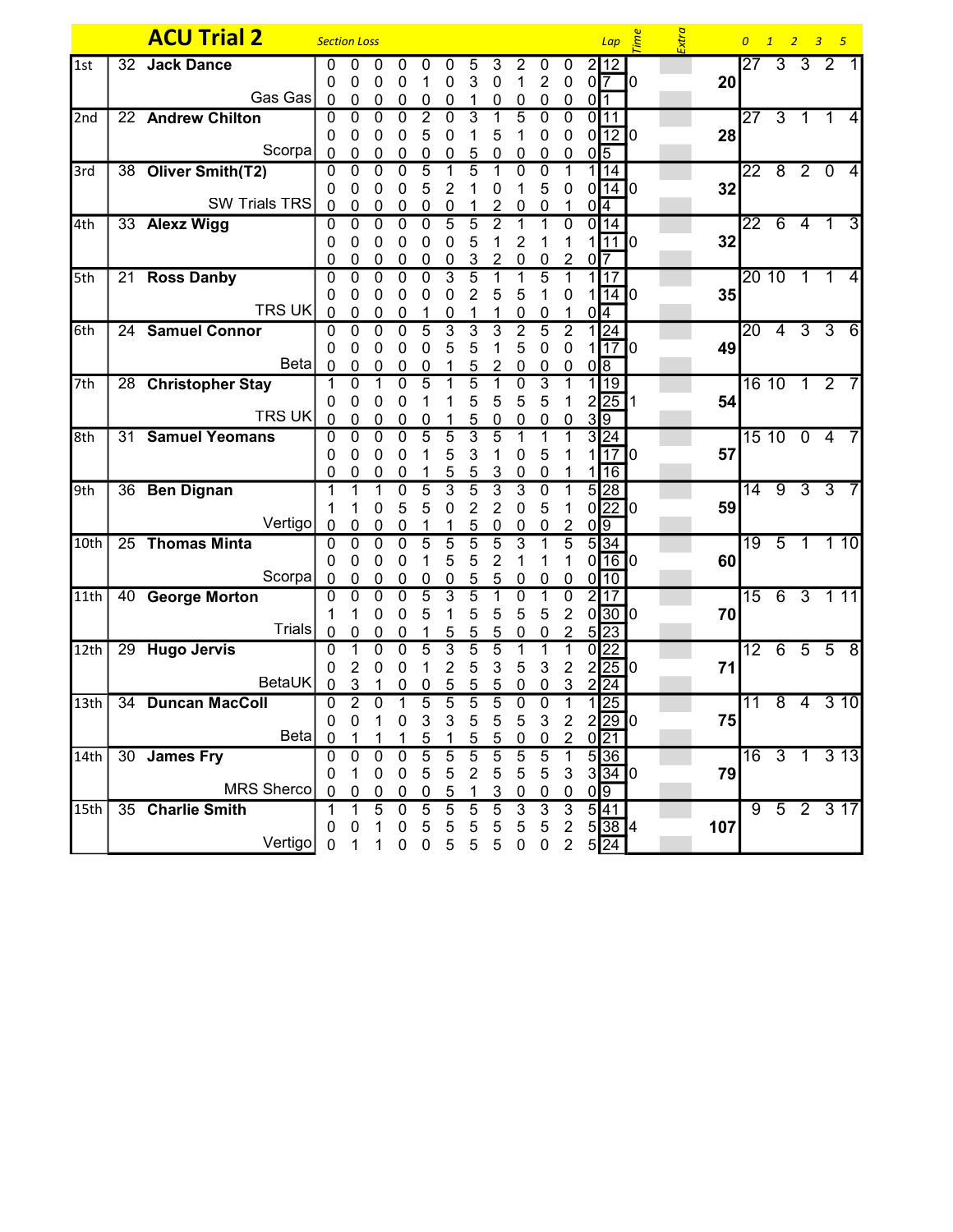|                  |    | <b>ACU Trial 2</b>    | <b>Section Loss</b> |                |                |                |                  |                     |                     |                     |                     |                     |                               |                 | $Lap \quad \stackrel{\omega}{\geq}$    |    | Extra |        | $\overline{0}$  | $\overline{1}$ | 2 <sup>2</sup>      | 3 <sub>5</sub>   |                |
|------------------|----|-----------------------|---------------------|----------------|----------------|----------------|------------------|---------------------|---------------------|---------------------|---------------------|---------------------|-------------------------------|-----------------|----------------------------------------|----|-------|--------|-----------------|----------------|---------------------|------------------|----------------|
| 1st              |    | 32 Jack Dance         | 0                   | O              | 0              | 0              |                  |                     | 5                   | 3                   |                     |                     | 0                             |                 | 2 12                                   |    |       |        | 27              |                | $3 \quad 3 \quad 2$ |                  |                |
|                  |    |                       | 0                   | 0              | 0              | 0              |                  | 0                   | 3                   | 0                   | 1                   | 2                   | 0                             |                 | $0\sqrt{7}$                            | 10 |       | 20     |                 |                |                     |                  |                |
|                  |    | Gas Gas               | 0                   | 0              | 0              | 0              | 0                | 0                   | 1                   | 0                   | 0                   | 0                   | 0                             | 0 <sup>11</sup> |                                        |    |       |        |                 |                |                     |                  |                |
| 2nd              |    | 22 Andrew Chilton     | 0                   | $\overline{0}$ | $\overline{0}$ | $\overline{0}$ | $\overline{2}$   | $\overline{0}$      | 3                   |                     | $\overline{5}$      | $\mathbf 0$         | $\mathbf 0$                   |                 | 0 11                                   |    |       |        |                 |                | $27$ 3 1 1          |                  | 4              |
|                  |    |                       | 0                   | 0              | 0              | 0              | 5                | 0                   |                     | 5                   |                     | 0                   | 0                             |                 | $0$ 12 0                               |    |       | 28     |                 |                |                     |                  |                |
|                  |    | Scorpa                | 0                   | 0              | 0              | 0              | 0                | 0                   | 5                   | 0                   | 0                   | 0                   | 0                             | $0\sqrt{5}$     |                                        |    |       |        |                 |                |                     |                  |                |
| 3rd              |    | 38 Oliver Smith(T2)   | 0                   | $\overline{0}$ | 0              | 0              | $\overline{5}$   | 1                   | 5                   | 1                   | 0                   | 0                   |                               |                 | 1 14                                   |    |       |        |                 |                |                     | 22 8 2 0         | $\overline{4}$ |
|                  |    | <b>SW Trials TRS</b>  | 0                   | 0              | 0              | 0              | 5                | 2                   |                     | 0                   |                     | 5                   | 0                             |                 | 0 14 0                                 |    |       | 32     |                 |                |                     |                  |                |
| 4th              |    | 33 Alexz Wigg         | 0<br>0              | 0<br>0         | 0<br>0         | 0<br>0         | 0<br>0           | 0<br>5              | 5                   | 2<br>$\overline{2}$ | 0                   | 0                   | 0                             |                 | 0 <sup>4</sup><br>$0$ 14               |    |       |        |                 |                | 2264                | $\overline{1}$   | 3              |
|                  |    |                       | 0                   | 0              | 0              | 0              | 0                | 0                   | 5                   |                     | $\overline{c}$      |                     | 1                             |                 | $1$ [11] $0$                           |    |       | 32     |                 |                |                     |                  |                |
|                  |    |                       | 0                   | 0              | 0              | 0              | 0                | 0                   | 3                   |                     | 0                   | 0                   | 2                             | 0 <sup>17</sup> |                                        |    |       |        |                 |                |                     |                  |                |
| 5th              |    | 21 Ross Danby         | $\Omega$            | $\Omega$       | $\Omega$       | $\mathbf 0$    | 0                | 3                   | 5                   |                     |                     | 5                   |                               |                 | 117                                    |    |       |        |                 | 20 10          | $\overline{1}$      | 1                | 4              |
|                  |    |                       | 0                   | 0              | 0              | 0              | 0                | 0                   | $\overline{2}$      | 5                   | 5                   |                     | 0                             |                 | 14 0                                   |    |       | 35     |                 |                |                     |                  |                |
|                  |    | <b>TRS UK</b>         | 0                   | 0              | 0              | 0              |                  | 0                   |                     |                     | 0                   | 0                   |                               |                 | 0 <sup>4</sup>                         |    |       |        |                 |                |                     |                  |                |
| 6th              |    | 24 Samuel Connor      | 0                   | 0              | 0              | $\overline{0}$ | 5                | $\overline{3}$      | $\overline{3}$      | 3                   | $\overline{2}$      | 5                   | $\overline{2}$                |                 | 1 24                                   |    |       |        | $\overline{20}$ | $\overline{4}$ |                     | $3\overline{3}$  | 6              |
|                  |    |                       | 0                   | 0              | 0              | 0              | 0                | 5                   | 5                   | 1                   | 5                   | 0                   | 0                             |                 | $1$   17   0                           |    |       | 49     |                 |                |                     |                  |                |
|                  |    | <b>Beta</b>           | $\mathbf 0$         | 0              | 0              | 0              | 0                |                     | 5                   | $\overline{c}$      | 0                   | 0                   | 0                             |                 | $0\sqrt{8}$                            |    |       |        |                 |                |                     |                  |                |
| 7th              |    | 28 Christopher Stay   |                     | 0              |                | 0              | 5                |                     | 5                   |                     | 0                   | 3                   |                               |                 | 1 19                                   |    |       |        |                 | 16 10          |                     | $1\quad2$        |                |
|                  |    |                       | 0                   | 0              | 0              | 0              |                  |                     | 5                   | 5                   | 5                   | 5                   | 1                             |                 | 2 25                                   |    |       | 54     |                 |                |                     |                  |                |
|                  |    | <b>TRS UK</b>         | 0                   | 0              | 0              | $\mathbf 0$    | 0                |                     | 5                   | 0                   | 0                   | 0                   | 0                             |                 | $3\sqrt{9}$                            |    |       |        |                 |                |                     |                  |                |
| 8th              | 31 | <b>Samuel Yeomans</b> | 0                   | 0              | $\overline{0}$ | $\mathbf 0$    | 5                | 5                   | 3                   | 5                   |                     |                     |                               |                 | 3 24                                   |    |       |        |                 |                | 151004              |                  |                |
|                  |    |                       | 0                   | 0              | 0              | 0              |                  | 5                   | 3                   |                     | 0                   | 5                   |                               |                 | 17 0                                   |    |       | 57     |                 |                |                     |                  |                |
| 9th              |    | 36 Ben Dignan         | 0<br>1              | 0              | 0              | 0<br>0         | 5                | 5<br>$\overline{3}$ | 5<br>$\overline{5}$ | 3<br>$\overline{3}$ | 0<br>$\overline{3}$ | 0<br>$\mathbf 0$    | 1                             |                 | 16<br>5 28                             |    |       |        |                 |                | $14$ 9 3 3          |                  |                |
|                  |    |                       | 1                   |                | 0              | 5              | 5                | 0                   | $\overline{c}$      | $\overline{2}$      | 0                   | 5                   |                               |                 | 0 22 0                                 |    |       | 59     |                 |                |                     |                  |                |
|                  |    | Vertigo               | 0                   | 0              | 0              | 0              |                  |                     | 5                   | 0                   | 0                   | 0                   | 2                             |                 | $0\sqrt{9}$                            |    |       |        |                 |                |                     |                  |                |
| 10th             |    | 25 Thomas Minta       | 0                   | $\overline{0}$ | $\overline{0}$ | $\overline{0}$ | $\overline{5}$   | $\overline{5}$      | $\overline{5}$      | $\overline{5}$      | $\overline{3}$      |                     | $\overline{5}$                |                 | 5 34                                   |    |       |        | $\overline{19}$ | $\overline{5}$ | $\overline{1}$      | 110              |                |
|                  |    |                       | 0                   | 0              | 0              | 0              | 1                | 5                   | 5                   | $\overline{2}$      | 1                   | 1                   | 1                             |                 | $0$ <sup>16<math>0</math></sup>        |    |       | 60     |                 |                |                     |                  |                |
|                  |    | Scorpa                | 0                   | 0              | 0              | 0              | 0                | 0                   | 5                   | 5                   | 0                   | 0                   | 0                             |                 | 0 10                                   |    |       |        |                 |                |                     |                  |                |
| 11th             |    | 40 George Morton      | 0                   | $\Omega$       | $\Omega$       | 0              | $\overline{5}$   | 3                   | $\overline{5}$      |                     | $\overline{0}$      |                     | $\overline{0}$                |                 | 2 17                                   |    |       |        |                 |                |                     | 15 6 3 1 11      |                |
|                  |    |                       |                     |                | 0              | 0              | 5                | 1                   | 5                   | 5                   | 5                   | 5                   | $\overline{2}$                |                 | $0\,30\,0$                             |    |       | 70     |                 |                |                     |                  |                |
|                  |    | Trials                | 0                   | 0              | 0              | 0              |                  | 5                   | 5                   | 5                   | 0                   | 0                   | 2                             |                 | $5\overline{23}$                       |    |       |        |                 |                |                     |                  |                |
| 12 <sub>th</sub> |    | 29 Hugo Jervis        | 0                   |                | $\overline{0}$ | $\overline{0}$ | $\overline{5}$   | 3                   | $\overline{5}$      | $\overline{5}$      |                     |                     | 1                             |                 | 0 22                                   |    |       |        |                 |                |                     | $12$ 6 5 5 8     |                |
|                  |    | <b>BetaUK</b>         | 0                   | 2              | 0              | 0              |                  | 2                   | 5                   | 3                   | 5                   | 3                   | $\overline{2}$                |                 | 2 25 0                                 |    |       | 71     |                 |                |                     |                  |                |
|                  |    |                       | 0                   | 3              |                | 0              | 0                | 5                   | 5                   | 5                   | 0                   | 0                   | 3                             | $\overline{2}$  | $\overline{24}$                        |    |       |        |                 |                |                     |                  |                |
| 13 <sub>th</sub> |    | 34 Duncan MacColl     | 0                   | $\overline{2}$ | 0              | 1              | 5                | 5                   | 5                   | 5                   | 0                   | 0                   | 1                             |                 | $\overline{25}$                        |    |       |        | 11              | $\overline{8}$ | 4                   | $\overline{310}$ |                |
|                  |    | Beta                  | 0<br>$\mathbf{0}$   | 0              |                | 0              | 3                | 3                   | 5                   | 5                   | 5                   | 3                   | $\overline{c}$                |                 | $2\overline{29}$ 0<br>$0\overline{21}$ |    |       | $\sim$ |                 |                |                     |                  |                |
| 14 <sub>th</sub> |    | 30 James Fry          | 0                   | 0              | 0              | 0              | 5<br>5           | 5                   | 5<br>5              | 5<br>5              | 0<br>$\overline{5}$ | 0<br>$\overline{5}$ | $\overline{c}$<br>$\mathbf 1$ |                 | 5 36                                   |    |       |        |                 |                |                     | 16 3 1 3 13      |                |
|                  |    |                       | 0                   | 1              | 0              | 0              | 5                | 5                   | $\overline{2}$      | 5                   | 5                   | 5                   | $\mathbf{3}$                  |                 | $3 \overline{34} \overline{)0}$        |    |       | 79     |                 |                |                     |                  |                |
|                  |    | <b>MRS Sherco</b>     | $\mathbf{0}$        | 0              | 0              | 0              | $\boldsymbol{0}$ | 5                   | 1                   | 3                   | 0                   | 0                   | $\boldsymbol{0}$              |                 | $0\sqrt{9}$                            |    |       |        |                 |                |                     |                  |                |
|                  |    |                       |                     |                | $\overline{5}$ | $\overline{0}$ | $\overline{5}$   | $\overline{5}$      | $\overline{5}$      | $\overline{5}$      | $\overline{3}$      | $\overline{3}$      | $\overline{3}$                |                 | $5\overline{41}$                       |    |       |        |                 | 952317         |                     |                  |                |
|                  |    |                       |                     |                |                |                |                  |                     |                     |                     |                     |                     |                               |                 |                                        |    |       |        |                 |                |                     |                  |                |
| 15th             |    | 35 Charlie Smith      | 0                   | 0              |                | 0              | 5                | 5                   | $\sqrt{5}$          | $\sqrt{5}$          | 5                   | 5                   | $\overline{2}$                |                 | 53814                                  |    |       | 107    |                 |                |                     |                  |                |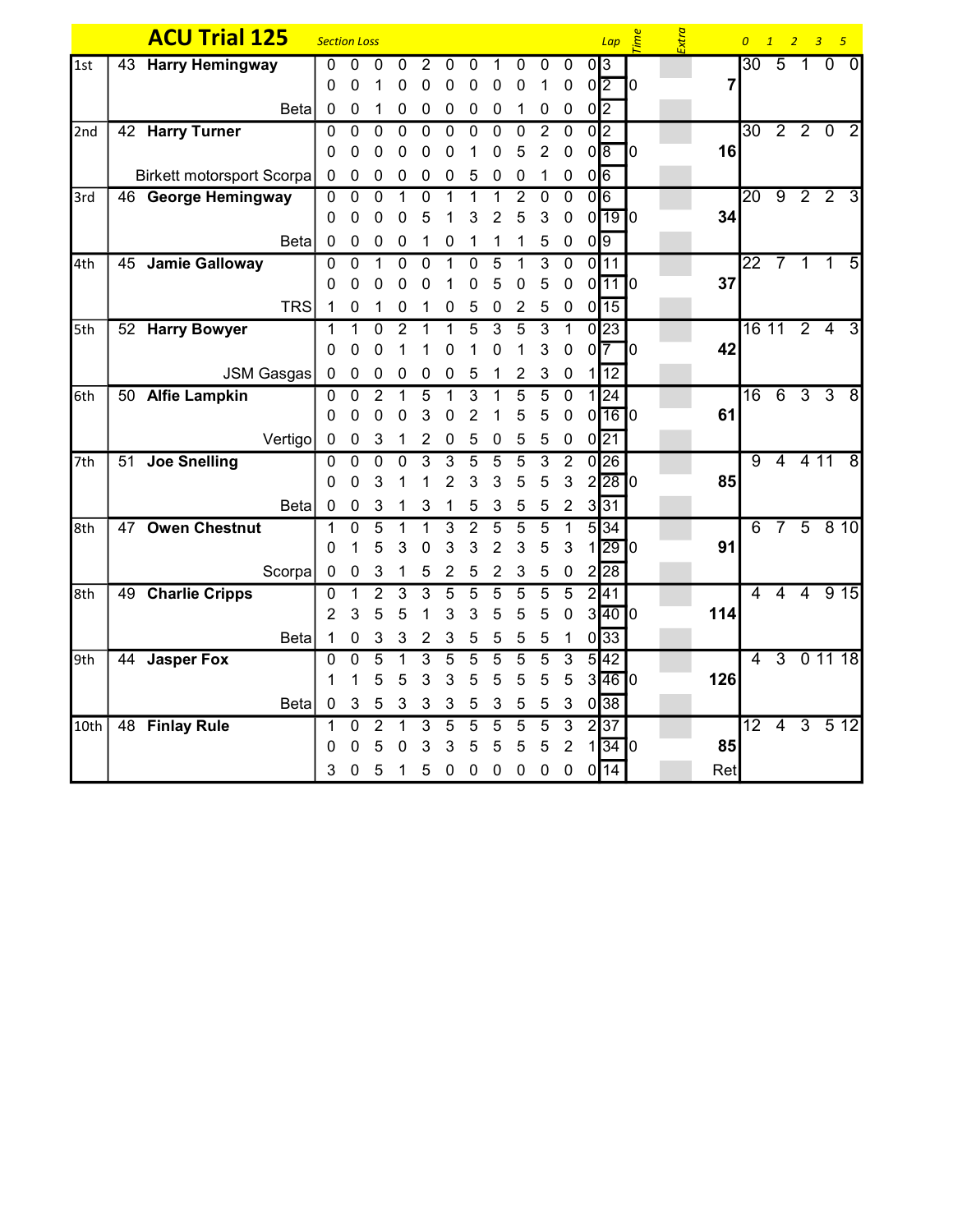|      | <b>ACU Trial 125</b>             | <b>Section Loss</b> |              |                |              |                |                |                |                |                |                |                |                | $Lap \quad \frac{ab}{c}$        |    | Extra |     |                 | 0 1 2 3 5      |                     |                |                |
|------|----------------------------------|---------------------|--------------|----------------|--------------|----------------|----------------|----------------|----------------|----------------|----------------|----------------|----------------|---------------------------------|----|-------|-----|-----------------|----------------|---------------------|----------------|----------------|
| 1st  | 43 Harry Hemingway               | 0                   | 0            | 0              | 0            | 2              | 0              | 0              |                | 0              | 0              | 0              | $0\sqrt{3}$    |                                 |    |       |     |                 | $30 \t 5 \t 1$ |                     | $\overline{0}$ | $\mathbf{0}$   |
|      |                                  | 0                   | $\Omega$     |                | 0            | 0              | 0              | 0              | 0              | 0              | 1              | $\mathbf 0$    | $0\sqrt{2}$    |                                 | 10 |       | 7   |                 |                |                     |                |                |
|      | <b>Beta</b>                      | $\mathbf 0$         | 0            | 1              | 0            | 0              | 0              | 0              | 0              | 1              | 0              | 0              | $0\sqrt{2}$    |                                 |    |       |     |                 |                |                     |                |                |
| 2nd  | 42 Harry Turner                  | $\Omega$            | 0            | 0              | 0            | $\mathbf 0$    | $\overline{0}$ | 0              | $\mathbf 0$    | $\mathbf 0$    | $\overline{2}$ | $\overline{0}$ | $\overline{0}$ |                                 |    |       |     |                 | $30$ 2 2 0     |                     |                | $\overline{2}$ |
|      |                                  | 0                   | 0            | 0              | 0            | 0              | 0              |                | 0              | 5              | $\overline{2}$ | $\mathbf 0$    | $0\sqrt{8}$    |                                 | 0  |       | 16  |                 |                |                     |                |                |
|      | <b>Birkett motorsport Scorpa</b> | 0                   | 0            | 0              | 0            | 0              | 0              | 5              | 0              | $\mathbf 0$    | 1              | 0              | $0\sqrt{6}$    |                                 |    |       |     |                 |                |                     |                |                |
| 3rd  | 46 George Hemingway              | 0                   | 0            | 0              |              | 0              | 1              | 1              | 1              | $\overline{c}$ | 0              | $\mathbf 0$    | 0 6            |                                 |    |       |     | $\overline{20}$ |                | $9 \quad 2 \quad 2$ |                | 3              |
|      |                                  | 0                   | $\Omega$     | 0              | 0            | 5              |                | 3              | 2              | 5              | 3              | $\mathbf 0$    |                | $0$ <sup>19</sup> $0$           |    |       | 34  |                 |                |                     |                |                |
|      | <b>Beta</b>                      | 0                   | 0            | 0              | 0            |                | 0              |                | 1              | 1              | 5              | 0              | $0\sqrt{9}$    |                                 |    |       |     |                 |                |                     |                |                |
| 4th  | 45 Jamie Galloway                | 0                   | 0            |                | 0            | 0              |                | 0              | 5              |                | 3              | $\overline{0}$ |                | $0\overline{11}$                |    |       |     |                 | $22$ 7 1 1     |                     |                | $\overline{5}$ |
|      |                                  | 0                   | 0            | 0              | 0            | 0              | 1              | 0              | 5              | 0              | 5              | $\pmb{0}$      |                | $0$ <sup>11</sup> $0$           |    |       | 37  |                 |                |                     |                |                |
|      | <b>TRS</b>                       | 1                   | 0            |                | 0            |                | 0              | 5              | 0              | 2              | 5              | $\pmb{0}$      |                | $0\overline{15}$                |    |       |     |                 |                |                     |                |                |
| 5th  | 52 Harry Bowyer                  | 1                   |              | $\Omega$       | 2            |                |                | 5              | 3              | 5              | 3              | 1              |                | 0 23                            |    |       |     |                 | 16 11 2 4      |                     |                | $\overline{3}$ |
|      |                                  | 0                   | O            | 0              |              |                | 0              |                | 0              |                | 3              | 0              | 0              | 17                              | 10 |       | 42  |                 |                |                     |                |                |
|      | <b>JSM Gasgas</b>                | $\mathbf 0$         | $\pmb{0}$    | 0              | 0            | 0              | 0              | 5              | 1              | $\overline{2}$ | 3              | $\mathbf 0$    |                | 12                              |    |       |     |                 |                |                     |                |                |
| 6th  | 50 Alfie Lampkin                 | 0                   | 0            | $\overline{2}$ |              | 5              |                | 3              |                | 5              | 5              | $\overline{0}$ |                | 1 24                            |    |       |     | $\overline{16}$ | 6              | 3 <sub>3</sub>      |                | $\overline{8}$ |
|      |                                  | 0                   | 0            | 0              | 0            | 3              | 0              | $\overline{2}$ |                | 5              | 5              | $\mathbf 0$    |                | $0$ <sup>16<math>0</math></sup> |    |       | 61  |                 |                |                     |                |                |
|      | Vertigo                          | $\mathbf 0$         | 0            | 3              | 1            | 2              | 0              | 5              | 0              | 5              | 5              | 0              |                | $0\overline{21}$                |    |       |     |                 |                |                     |                |                |
| 7th  | 51 Joe Snelling                  | 0                   | $\mathbf{0}$ | 0              | 0            | 3              | 3              | 5              | 5              | 5              | 3              | $\overline{2}$ |                | 0 26                            |    |       |     | $\overline{9}$  | $\overline{4}$ |                     | 411            | 8              |
|      |                                  | 0                   | $\Omega$     | 3              |              |                | $\overline{2}$ | 3              | 3              | 5              | 5              | 3              |                | $2\overline{28}$ <sup>0</sup>   |    |       | 85  |                 |                |                     |                |                |
|      | <b>Beta</b>                      | $\mathbf 0$         | 0            | 3              |              | 3              | 1              | 5              | 3              | 5              | 5              | $\overline{2}$ |                | $3\overline{31}$                |    |       |     |                 |                |                     |                |                |
| 8th  | 47 Owen Chestnut                 | 1                   | $\Omega$     | 5              |              |                | 3              | $\overline{2}$ | 5              | 5              | 5              |                |                | $5\overline{)34}$               |    |       |     | 6               |                | 7 5 8 10            |                |                |
|      |                                  | 0                   | 1            | 5              | 3            | 0              | 3              | 3              | $\overline{2}$ | 3              | 5              | 3              |                | 1 29 0                          |    |       | 91  |                 |                |                     |                |                |
|      | Scorpa                           | $\mathbf 0$         | $\pmb{0}$    | 3              |              | 5              | 2              | 5              | $\overline{2}$ | 3              | 5              | $\pmb{0}$      |                | 2 28                            |    |       |     |                 |                |                     |                |                |
| 8th  | 49 Charlie Cripps                | 0                   | 1            | $\overline{2}$ | 3            | 3              | 5              | 5              | 5              | 5              | 5              | 5              |                | 2 41                            |    |       |     | 4               | $\overline{4}$ |                     | 4 9 15         |                |
|      |                                  | $\overline{2}$      | 3            | 5              | 5            |                | 3              | 3              | 5              | 5              | 5              | 0              |                | 3[40]0                          |    |       | 114 |                 |                |                     |                |                |
|      | <b>Beta</b>                      | $\mathbf 1$         | 0            | 3              | 3            | $\overline{2}$ | 3              | 5              | 5              | 5              | 5              | 1              |                | $0\overline{33}$                |    |       |     |                 |                |                     |                |                |
| 9th  | 44 Jasper Fox                    | 0                   | $\Omega$     | 5              |              | 3              | 5              | 5              | 5              | 5              | 5              | 3              |                | 5 42                            |    |       |     | $\overline{4}$  |                | $3$ 0 11 18         |                |                |
|      |                                  | 1                   |              | 5              | 5            | 3              | 3              | 5              | 5              | 5              | 5              | 5              |                | 3 46 0                          |    |       | 126 |                 |                |                     |                |                |
|      | <b>Beta</b>                      | 0                   | 3            | 5              | 3            | 3              | 3              | 5              | 3              | 5              | 5              | $\mathbf{3}$   |                | $0\overline{38}$                |    |       |     |                 |                |                     |                |                |
| 10th | 48 Finlay Rule                   | 1                   | 0            | $\overline{2}$ | 1            | 3              | 5              | 5              | 5              | 5              | 5              | $\overline{3}$ |                | 2 37                            |    |       |     |                 | 12 4 3 5 12    |                     |                |                |
|      |                                  | 0                   | 0            | 5              | 0            | 3              | 3              | 5              | 5              | 5              | 5              | $\overline{c}$ | $\mathbf{1}$   | $\overline{34}$ 0               |    |       | 85  |                 |                |                     |                |                |
|      |                                  | 3                   | 0            | 5              | $\mathbf{1}$ | 5              | $\mathbf 0$    | 0              | 0              | $\mathbf 0$    | 0              | $\pmb{0}$      |                | $0\sqrt{14}$                    |    |       | Ret |                 |                |                     |                |                |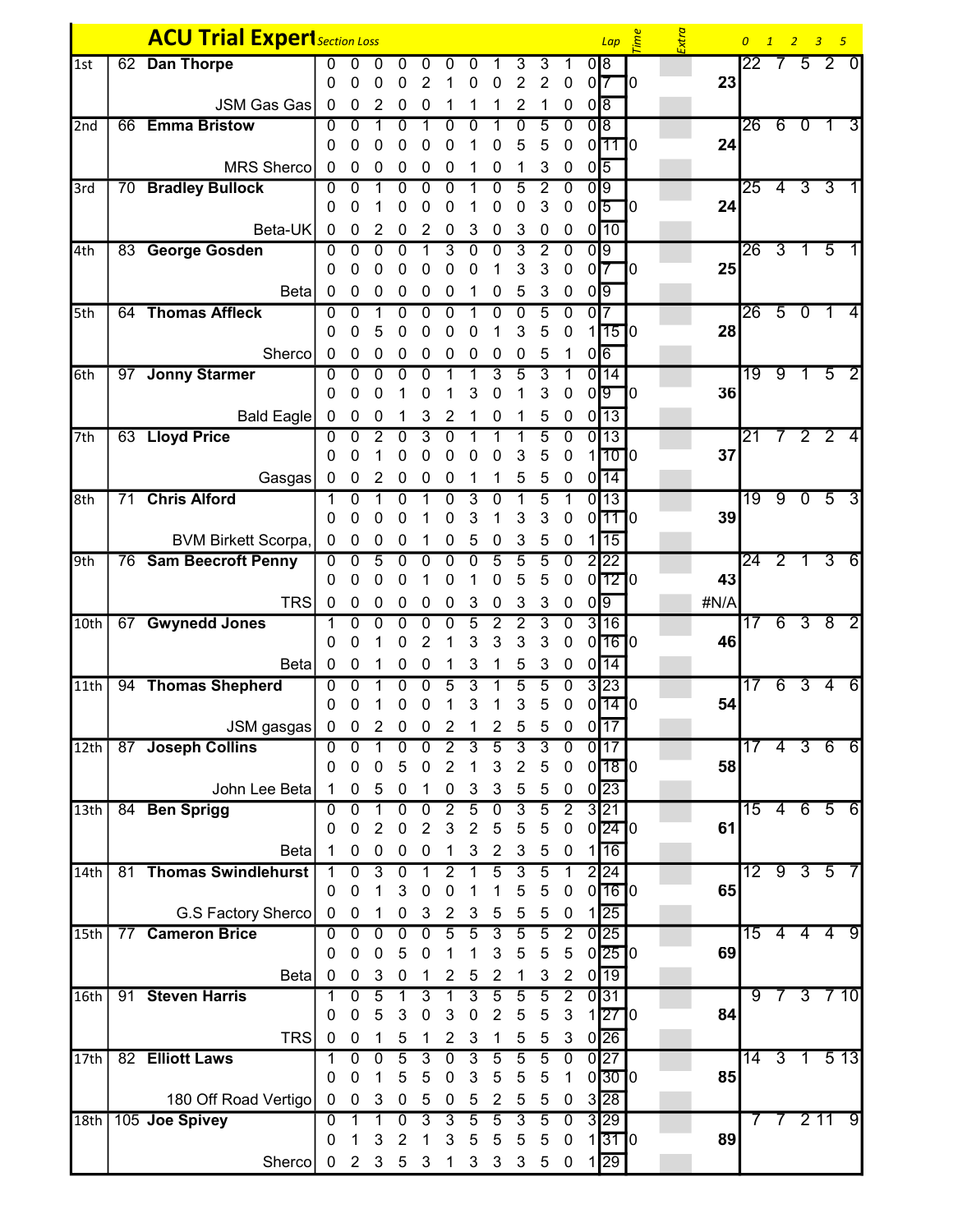|                    |    | <b>ACU Trial Experi</b> Section Loss |                  |                  |                |                |                |                   |                |                       |                     |                     |                                    |                 | $Lap \quad \stackrel{\text{def}}{=}$ |    | Extra |            |                 |                 |                | 0 1 2 3 5       |                 |
|--------------------|----|--------------------------------------|------------------|------------------|----------------|----------------|----------------|-------------------|----------------|-----------------------|---------------------|---------------------|------------------------------------|-----------------|--------------------------------------|----|-------|------------|-----------------|-----------------|----------------|-----------------|-----------------|
| 1st                | 62 | <b>Dan Thorpe</b>                    | 0                |                  | U              | 0              |                |                   |                |                       | 3                   | 3                   |                                    |                 | 0 8                                  |    |       |            | 22.             | 7               |                | 5 <sup>2</sup>  | $\Omega$        |
|                    |    |                                      | 0                | 0                | 0              | 0              | 2              |                   | 0              | 0                     | $\overline{2}$      | $\overline{2}$      | 0                                  |                 | 0 <sup>7</sup>                       | ٦0 |       | 23         |                 |                 |                |                 |                 |
|                    |    | <b>JSM Gas Gas</b>                   | 0                | 0                | 2              | 0              | 0              |                   |                |                       | $\overline{2}$      | 1                   | 0                                  |                 | $0\sqrt{8}$                          |    |       |            |                 |                 |                |                 |                 |
| 2nd                |    | 66 Emma Bristow                      | 0                | 0                |                | 0              |                | 0                 | 0              |                       | 0                   | 5                   | 0                                  |                 | 0 8                                  |    |       |            | 26              |                 | 60             | $\overline{1}$  | 3               |
|                    |    |                                      | 0                | 0                | 0              | 0              | 0              |                   |                | 0                     | 5                   | 5                   | 0                                  |                 | $0$ <sup>11</sup> $0$                |    |       | 24         |                 |                 |                |                 |                 |
| 3rd                |    | MRS Sherco<br>70 Bradley Bullock     | 0<br>0           | 0<br>0           | 0              | 0<br>0         | 0<br>0         | 0<br>$\mathbf{0}$ |                | 0<br>0                | $\overline{5}$      | 3<br>$\overline{2}$ | 0<br>$\Omega$                      |                 | $0\sqrt{5}$<br>$\overline{0}$        |    |       |            | $\overline{25}$ | $\overline{4}$  |                | 3 <sub>3</sub>  |                 |
|                    |    |                                      | 0                | 0                |                | 0              | 0              | 0                 |                | 0                     | 0                   | 3                   | 0                                  |                 | $0\overline{5}$                      | ٦٥ |       | 24         |                 |                 |                |                 |                 |
|                    |    | Beta-UK                              | $\mathbf 0$      | 0                | 2              | 0              | 2              | 0                 | 3              | 0                     | 3                   | 0                   | 0                                  |                 | $0$ <sup>10</sup>                    |    |       |            |                 |                 |                |                 |                 |
| 4th                |    | 83 George Gosden                     | 0                | 0                | 0              | 0              |                | 3                 | 0              | 0                     | 3                   | 2                   | 0                                  |                 | 0 9                                  |    |       |            | 26              | 3               |                | 5               |                 |
|                    |    |                                      | 0                | 0                |                |                |                |                   |                |                       | 3                   | 3                   | 0                                  |                 | 0 <sup>7</sup>                       | 10 |       | 25         |                 |                 |                |                 |                 |
|                    |    | <b>Beta</b>                          | 0                | 0                | 0              | 0              | 0              | 0                 |                | 0                     | 5                   | 3                   | 0                                  |                 | $0\sqrt{9}$                          |    |       |            |                 |                 |                |                 |                 |
| 5th                |    | 64 Thomas Affleck                    | 0                | 0                |                | 0              | 0              | 0                 |                | 0                     | 0                   | 5                   | $\overline{0}$                     | 0 <sub>17</sub> |                                      |    |       |            | 26              | $\overline{5}$  | $\overline{0}$ | $\overline{1}$  | 4               |
|                    |    |                                      | 0                | 0                | 5              | 0              | 0              | ი                 | 0              |                       | 3                   | 5                   | 0                                  |                 | $1$ <sup>15<math>1</math>0</sup>     |    |       | 28         |                 |                 |                |                 |                 |
|                    |    | Sherco                               | 0                | 0                | 0              | 0              | 0              | 0                 | 0              | 0                     | 0                   | 5                   | 1                                  |                 | $0\sqrt{6}$                          |    |       |            |                 |                 |                |                 |                 |
| 6th                |    | 97 Jonny Starmer                     | 0<br>0           | 0<br>0           | $\Omega$<br>0  | 0              | 0<br>0         |                   | 3              | 3<br>0                | $\overline{5}$<br>1 | 3<br>3              | 1<br>0                             |                 | $0\overline{14}$<br>0 <sub>0</sub>   | ٦0 |       | 36         | 19              | 9               | 1.             | $\overline{5}$  |                 |
|                    |    | <b>Bald Eagle</b>                    | 0                | 0                | 0              |                | 3              | 2                 |                | 0                     |                     | 5                   | 0                                  |                 | $0\overline{13}$                     |    |       |            |                 |                 |                |                 |                 |
| 7th                |    | 63 Lloyd Price                       | 0                | 0                |                | 0              | 3              | 0                 |                |                       |                     | 5                   | 0                                  |                 | $0\overline{13}$                     |    |       |            | 21              | 7               |                | 2 <sub>2</sub>  | 4               |
|                    |    |                                      | 0                |                  |                |                |                | 0                 |                | 0                     | 3                   | 5                   | 0                                  |                 | 1010                                 |    |       | 37         |                 |                 |                |                 |                 |
|                    |    | Gasgas                               | $\mathbf 0$      | 0                | 2              | 0              | 0              | 0                 |                | 1                     | 5                   | 5                   | 0                                  |                 | $0\overline{14}$                     |    |       |            |                 |                 |                |                 |                 |
| 8th                | 71 | <b>Chris Alford</b>                  | 1                | 0                |                | 0              |                | 0                 | 3              | 0                     | 1                   | 5                   | 1                                  |                 | $0\overline{13}$                     |    |       |            |                 | 19 9 0 5        |                |                 | 3               |
|                    |    |                                      | 0                | $\Omega$         | 0              | 0              |                | 0                 | 3              |                       | 3                   | 3                   | 0                                  |                 | $0$ <sup>11</sup> $10$               |    |       | 39         |                 |                 |                |                 |                 |
|                    |    | <b>BVM Birkett Scorpa,</b>           | 0                | 0                | 0              | 0              |                | 0                 | 5              | 0                     | 3                   | 5                   | 0                                  |                 | 15                                   |    |       |            |                 |                 |                |                 |                 |
| 9th                |    | 76 Sam Beecroft Penny                | 0                | 0                | 5              | 0              | 0              | 0                 | 0              | 5                     | 5                   | 5                   | $\mathbf 0$                        |                 | 2 22                                 |    |       |            | 24              | $\overline{2}$  | $\mathbf{1}$   | 3               | 6               |
|                    |    | <b>TRS</b>                           | 0<br>$\mathbf 0$ | 0                | 0              | 0              |                | 0                 |                | 0                     | 5                   | 5                   | 0                                  | $0\sqrt{9}$     | $0$ <sup>12</sup> $0$                |    |       | 43<br>#N/A |                 |                 |                |                 |                 |
| 10th               | 67 | <b>Gwynedd Jones</b>                 | 1                | 0<br>0           | 0<br>0         | 0<br>0         | 0<br>0         | 0<br>0            | 3<br>5         | $\boldsymbol{0}$<br>2 | 3<br>$\overline{2}$ | 3<br>$\overline{3}$ | $\boldsymbol{0}$<br>0              |                 | 3 16                                 |    |       |            | 17              |                 | 6 3 8          |                 | 2               |
|                    |    |                                      | 0                | O                |                | 0              | 2              |                   | 3              | 3                     | 3                   | 3                   | 0                                  |                 | $0$ $16$ $0$                         |    |       | 46         |                 |                 |                |                 |                 |
|                    |    | Beta                                 | 0                | 0                |                | 0              | 0              |                   | 3              |                       | 5                   | 3                   | 0                                  |                 | $0\overline{14}$                     |    |       |            |                 |                 |                |                 |                 |
| 11th               |    | 94 Thomas Shepherd                   | 0                | 0                |                |                | O              | 5                 | 3              |                       | 5                   | 5                   | 0                                  |                 | 3 23                                 |    |       |            |                 | 6               | $\overline{3}$ | 4               | $6\overline{6}$ |
|                    |    |                                      | 0                | 0                |                | 0              | 0              |                   | 3              |                       | 3                   | 5                   | 0                                  |                 | $0$ [14] $0$                         |    |       | 54         |                 |                 |                |                 |                 |
|                    |    | JSM gasgas                           | 0                | $\mathbf 0$      | 2              | 0              | 0              | $\overline{2}$    |                | 2                     | 5                   | 5                   | $\mathbf 0$                        |                 | 0117                                 |    |       |            |                 |                 |                |                 |                 |
| 12th               |    | 87 Joseph Collins                    | 0                | $\Omega$         |                | 0              | $\Omega$       | 2                 | 3              | $\overline{5}$        | 3                   | 3                   | $\Omega$                           |                 | $0\overline{17}$                     |    |       |            |                 | $\overline{4}$  | $\overline{3}$ | 6               | 6               |
|                    |    |                                      | 0                | 0                | 0              | 5              | 0              | $\overline{2}$    | 1              | 3                     | $\boldsymbol{2}$    | 5                   | $\mathbf 0$                        |                 | $0$ <sup>18<math>0</math></sup>      |    |       | 58         |                 |                 |                |                 |                 |
| 13 <sub>th</sub>   |    | John Lee Beta<br>84 Ben Sprigg       | 1<br>0           | $\mathbf 0$<br>0 | 5              | 0<br>0         | 1<br>0         | 0<br>2            | 3<br>5         | 3<br>0                | $\sqrt{5}$<br>3     | $\sqrt{5}$<br>5     | $\boldsymbol{0}$<br>$\overline{2}$ |                 | $0\overline{23}$<br>3 21             |    |       |            | 15              | $\overline{4}$  |                | 6 5             | $6 \,$          |
|                    |    |                                      | 0                | 0                | 2              | 0              | 2              | 3                 | 2              | 5                     | 5                   | 5                   | 0                                  |                 | $0$  24  $0$                         |    |       | 61         |                 |                 |                |                 |                 |
|                    |    | Beta                                 | 1                | 0                | 0              | 0              | 0              | 1                 | 3              | $\overline{2}$        | 3                   | 5                   | 0                                  | 11              | 16                                   |    |       |            |                 |                 |                |                 |                 |
| 14th               |    | 81 Thomas Swindlehurst               | 1                | 0                | 3              | 0              |                | 2                 |                | 5                     | $\overline{3}$      | $\overline{5}$      | 1                                  |                 | 2 24                                 |    |       |            |                 | 12 <sup>0</sup> |                | $3\overline{5}$ |                 |
|                    |    |                                      | 0                | 0                | 1              | 3              | 0              | 0                 | 1              | 1                     | 5                   | 5                   | $\pmb{0}$                          |                 | $0$ <sup>16<math>0</math></sup>      |    |       | 65         |                 |                 |                |                 |                 |
|                    |    | G.S Factory Sherco                   | 0                | 0                |                | 0              | 3              | 2                 | 3              | 5                     | 5                   | 5                   | 0                                  | 11              | $\overline{25}$                      |    |       |            |                 |                 |                |                 |                 |
| $\overline{15}$ th | 77 | <b>Cameron Brice</b>                 | 0                | $\overline{0}$   | $\overline{0}$ | $\overline{0}$ | $\overline{0}$ | $\overline{5}$    | $\overline{5}$ | $\overline{3}$        | $\overline{5}$      | $\overline{5}$      | $\overline{2}$                     |                 | 0 25                                 |    |       |            | 15              |                 |                | 444             | 9               |
|                    |    |                                      | 0                | 0                | 0              | 5              | 0              |                   |                | 3                     | 5                   | 5                   | $\sqrt{5}$                         |                 | $0$  25  $0$                         |    |       | 69         |                 |                 |                |                 |                 |
|                    |    | <b>Beta</b>                          | $\pmb{0}$        | 0                | 3              | 0              |                | 2                 | 5              | $\overline{c}$        | 1                   | 3                   | $\overline{2}$                     |                 | $0\overline{19}$                     |    |       |            |                 |                 |                |                 |                 |
| 16th               |    | 91 Steven Harris                     | 1<br>0           | 0<br>0           | 5<br>5         | 1<br>3         | 3<br>0         | 3                 | 3<br>0         | $\overline{5}$<br>2   | 5<br>5              | $\overline{5}$<br>5 | $\overline{2}$<br>3                |                 | 0 31<br>270                          |    |       | 84         | ९               | $\prime$        |                | $3 \t7 \t10$    |                 |
|                    |    | <b>TRS</b>                           | $\mathbf 0$      | $\boldsymbol{0}$ | 1              | 5              | 1              | 2                 | 3              | 1                     | 5                   | 5                   | 3                                  |                 | $0\overline{26}$                     |    |       |            |                 |                 |                |                 |                 |
| 17th               |    | 82 Elliott Laws                      | 1                | 0                | 0              | $\overline{5}$ | 3              | $\overline{0}$    | 3              | $\overline{5}$        | $\overline{5}$      | $\overline{5}$      | $\overline{0}$                     |                 | 0 27                                 |    |       |            | $\overline{14}$ | $\overline{3}$  | 1              |                 | 513             |
|                    |    |                                      | 0                | 0                | 1              | 5              | 5              | 0                 | 3              | 5                     | 5                   | 5                   | 1                                  |                 | 0300                                 |    |       | 85         |                 |                 |                |                 |                 |
|                    |    | 180 Off Road Vertigo                 | 0                | 0                | 3              | 0              | 5              | 0                 | 5              | 2                     | 5                   | 5                   | 0                                  |                 | $3\overline{28}$                     |    |       |            |                 |                 |                |                 |                 |
| 18th               |    | 105 Joe Spivey                       | 0                |                  |                | $\overline{0}$ | 3              | 3                 | $\overline{5}$ | 5                     | 3                   | 5                   | $\overline{0}$                     |                 | 3 29                                 |    |       |            |                 | $7\phantom{.}$  |                | 211             | 9               |
|                    |    |                                      | 0                |                  | 3              | 2              |                | 3                 | 5              | 5                     | 5                   | 5                   | $\boldsymbol{0}$                   |                 | $1$ 31 $1$ 0                         |    |       | 89         |                 |                 |                |                 |                 |
|                    |    | Sherco                               | 0                | 2                | 3              | 5              | 3              |                   | 3              | 3                     | 3                   | 5                   | 0                                  |                 | $1\overline{29}$                     |    |       |            |                 |                 |                |                 |                 |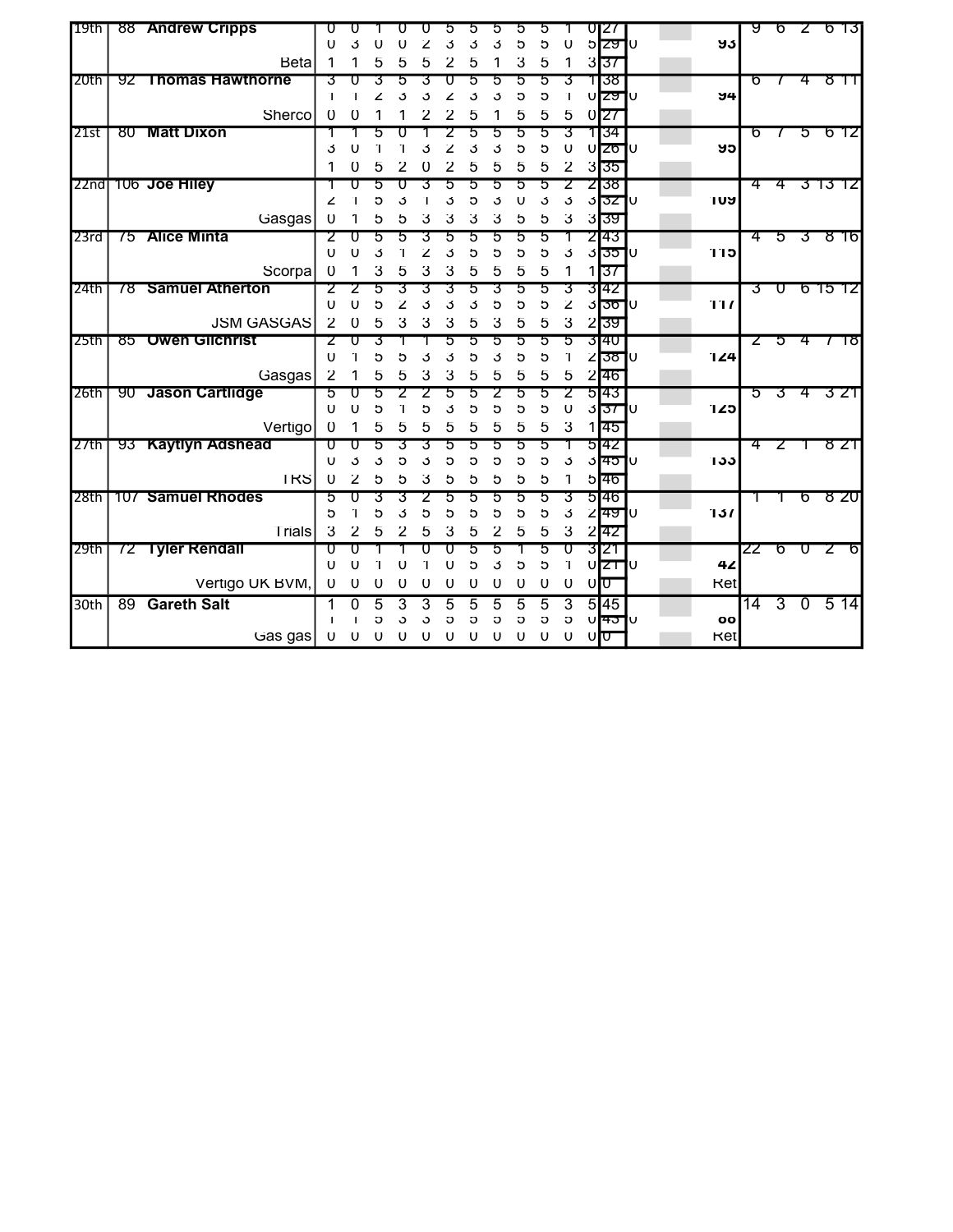| 19th             |    | 88 Andrew Cripps        | U              |              |          |          |               |          |        |         | :C     |          |             |                  |                     |    |           | पु | b              | ∠              | ხ            | -13           |
|------------------|----|-------------------------|----------------|--------------|----------|----------|---------------|----------|--------|---------|--------|----------|-------------|------------------|---------------------|----|-----------|----|----------------|----------------|--------------|---------------|
|                  |    |                         | U              | 3            |          |          |               |          | 3      |         | 5      | G        | U           |                  | ১ <del>zy</del>     | ้บ | უკ        |    |                |                |              |               |
|                  |    | <b>Beta</b>             |                |              |          |          |               |          | 5      |         | 3      | 5        | 1           |                  | 357                 |    |           |    |                |                |              |               |
| 20th             | 92 | <b>Thomas Hawthorne</b> | 3              |              |          |          |               |          | h.     | :5      | 5      | ۰.       | 3           |                  | १ाउ४                |    |           | ხ  | $\prime$       | 4              | ष गा         |               |
|                  |    |                         | Π              |              |          |          |               |          | 3      | 3       | 5      | G        | Ί           |                  | ∪lzਯl∪              |    | 94        |    |                |                |              |               |
|                  |    | Sherco                  | 0              | $\mathbf{0}$ |          |          |               |          | 5      |         | 5      | 5        | 5           | 0 <sub>127</sub> |                     |    |           |    |                |                |              |               |
| 21st             |    | 80 Matt Dixon           |                |              |          |          |               |          |        | ٠h      | 5      | 5        | 3           |                  | 34                  |    |           | 6  | $\prime$       | ড              | <u>চ 12</u>  |               |
|                  |    |                         | 3              | U            |          |          |               |          | 3      | 3       | ა      | 5        | U           |                  | ∪lz <del>o</del> l∪ |    | ັນວ       |    |                |                |              |               |
|                  |    |                         |                | $\Omega$     | 5        |          | 0             |          | 5      | 5       | 5      | 5        | 2           |                  | 335                 |    |           |    |                |                |              |               |
|                  |    | 22nd 106 Joe Hiley      |                |              | 5        |          |               |          | 5      | 5       | 5      | 5        |             |                  | 2138                |    |           | 4  | 4              |                | -3 T3 T2     |               |
|                  |    |                         | Ż              | 1            | ხ        | 3        |               | 3        | 5      | 3       | U      | 3        | 3           |                  | ওাত্তা∪             |    | 109       |    |                |                |              |               |
|                  |    | Gasgas                  | 0              |              | 5        | 5        | 3             | 3        | 3      | 3       | 5      | 5        | 3           |                  | 3 उप                |    |           |    |                |                |              |               |
| 23rd             | 75 | <b>Alice Minta</b>      | 2              |              | 5        | h.       |               | h.       | 5      | 5       | 5      | 5        |             |                  | 2143                |    |           | 4  | 5              |                | 3816         |               |
|                  |    |                         | U              | U            | 3        |          | z             | 3        | 5      | G       | Ⴢ      | G        | 3           |                  | ও∣তসা∪              |    | 115       |    |                |                |              |               |
|                  |    | Scorpa                  | 0              |              | 3        | 5        | 3             | 3        | 5      | 5       | 5      | 5        |             |                  | 37                  |    |           |    |                |                |              |               |
| 24th             | 78 | <b>Samuel Atherton</b>  | 2              |              | 5        |          |               |          | 5      |         | 5      |          | 3           |                  | 3142                |    |           | उ  | ᠊ᠣ             |                | 61512        |               |
|                  |    |                         | U              | Ū            | 5        | z        | 3             | 3        | 3      | 5       | ა      | G        | z           |                  | 3 उठा               | ΙU | 111       |    |                |                |              |               |
|                  |    | <b>JSM GASGAS</b>       | $\overline{2}$ | $\mathbf{0}$ | 5        | 3        | 3             | 3        | 5      | 3       | 5      | 5        | 3           |                  | 239                 |    |           |    |                |                |              |               |
| 25 <sub>th</sub> | 85 | <b>Owen Gilchrist</b>   |                |              |          |          |               |          | 5      | 5       | 5      |          | 5           |                  | 3140                |    |           | Z  | 5              | -4             |              | 78            |
|                  |    |                         | U              |              | 5        | 5        | 3             | 3        | 5      | 3       | ხ      | Ⴆ        | 1           |                  | ∠।उठा               | lU | 124       |    |                |                |              |               |
|                  |    | Gasgas                  | $\overline{2}$ |              | 5        | 5        | 3             | 3        | 5      | 5       | 5      | 5        | 5           |                  | 2146                |    |           |    |                |                |              |               |
| 26th             |    | 90 Jason Cartlidge      | 5              | Ū            |          |          |               |          | 5      |         | 5      |          |             |                  | 5143                |    |           | 'ঠ | उ              | $\overline{4}$ | -3 21        |               |
|                  |    |                         | U              | Ū            | 5        |          | 5             | 3        | 5      | Ⴢ       | Ⴢ      | Ć        | U           |                  | <u>उति</u>          | Ü  | 1∠ס       |    |                |                |              |               |
|                  |    | Vertigo                 | $\mathbf 0$    |              | 5        | 5        | 5             | 5        | 5      | 5       | 5      | 5        | 3           |                  | 145                 |    |           |    |                |                |              |               |
| 27th             |    | 93 Kaytlyn Adshead      | π              | Ū            | 5        |          |               |          | 5      | 5       | 5      | 5        |             |                  | 5142                |    |           | 4  | Z              |                | 8 Z1         |               |
|                  |    |                         | U              | 3            | 3        | h        | 3             | G        | 5      | ა       | ა      | G        | 3           |                  | 31451               | ้บ | 133       |    |                |                |              |               |
|                  |    | <b>TRS</b>              | $\theta$       | 2            | 5        |          | 3             |          | 5      | 5       | 5      | 5        | 1           |                  | 5 46                |    |           |    |                |                |              |               |
| 28th             |    | 107 Samuel Rhodes       | 5<br>ა         |              | 5        |          | h             | h        | h.     | ۰.<br>b | 5<br>G | 5        | 3<br>3      |                  | 5146<br>∠क्जि∪      |    | 131       |    | Ŧ              | ত              | 8 ZU         |               |
|                  |    |                         |                |              |          |          |               |          | Ⴢ      |         |        | ა        |             |                  |                     |    |           |    |                |                |              |               |
|                  |    | Trials                  | 3              | 2            | 5        |          |               |          | 5      |         | 5      | 5        | 3           |                  | 242                 |    |           |    |                |                |              |               |
| 29th             | 72 | <b>Tyler Rendall</b>    | υ<br>U         | O<br>Ü       |          |          |               | O        | 5<br>5 | 5<br>3  | 5      | 5<br>Ⴆ   | U<br>1      |                  | 3121<br>∪ Z⊤        | lu | 42        | ZZ | ত              | U              | $\mathbf{z}$ | <sub>10</sub> |
|                  |    |                         | 0              | $\Omega$     | $\Omega$ | $\Omega$ | $\mathcal{O}$ | $\Omega$ | O      | O       | O      | $\Omega$ | $\mathbf 0$ | $0\overline{0}$  |                     |    | Ret       |    |                |                |              |               |
|                  |    | Vertigo UK BVM,         |                |              |          |          |               |          |        |         |        |          |             |                  |                     |    |           |    |                |                |              |               |
| 30th             |    | 89 Gareth Salt          | 1              | 0            | 5        | 3        | 3             |          | 5      | 5       | 5      | 5        | 3           |                  | 5 45                |    |           | 14 | $\overline{3}$ | $\overline{0}$ | 514          |               |
|                  |    | Gas gas                 | U              | O            | G<br>O   | Ĵ        | Ĵ<br>O        | ວ        | G<br>O | G<br>U  | C<br>O | C<br>O   | C<br>Ü      | ∪ιπ              | ∪∣क्ज∣∪             |    | oo<br>Ket |    |                |                |              |               |
|                  |    |                         |                |              |          |          |               |          |        |         |        |          |             |                  |                     |    |           |    |                |                |              |               |